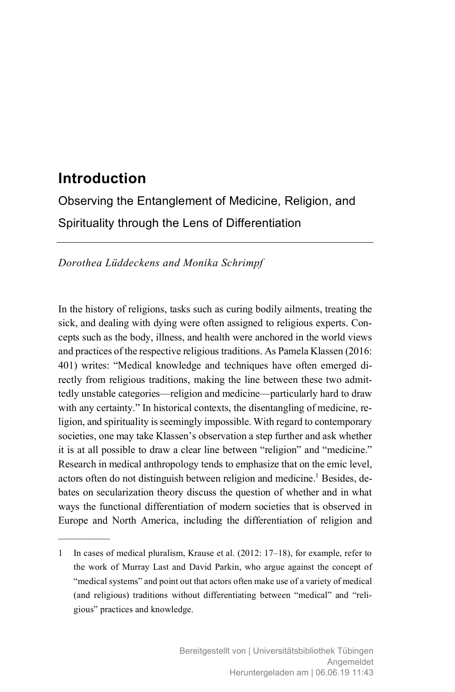# **Introduction**

—————

Observing the Entanglement of Medicine, Religion, and Spirituality through the Lens of Differentiation

*Dorothea Lüddeckens and Monika Schrimpf*

In the history of religions, tasks such as curing bodily ailments, treating the sick, and dealing with dying were often assigned to religious experts. Concepts such as the body, illness, and health were anchored in the world views and practices of the respective religious traditions. As Pamela Klassen (2016: 401) writes: "Medical knowledge and techniques have often emerged directly from religious traditions, making the line between these two admittedly unstable categories—religion and medicine—particularly hard to draw with any certainty." In historical contexts, the disentangling of medicine, religion, and spirituality is seemingly impossible. With regard to contemporary societies, one may take Klassen's observation a step further and ask whether it is at all possible to draw a clear line between "religion" and "medicine." Research in medical anthropology tends to emphasize that on the emic level, actors often do not distinguish between religion and medicine.<sup>1</sup> Besides, debates on secularization theory discuss the question of whether and in what ways the functional differentiation of modern societies that is observed in Europe and North America, including the differentiation of religion and

<sup>1</sup> In cases of medical pluralism, Krause et al. (2012: 17–18), for example, refer to the work of Murray Last and David Parkin, who argue against the concept of "medical systems" and point out that actors often make use of a variety of medical (and religious) traditions without differentiating between "medical" and "religious" practices and knowledge.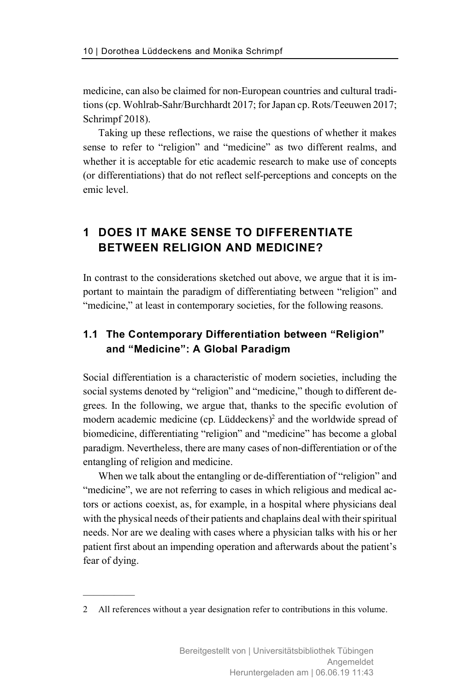medicine, can also be claimed for non-European countries and cultural traditions (cp. Wohlrab-Sahr/Burchhardt 2017; for Japan cp. Rots/Teeuwen 2017; Schrimpf 2018).

Taking up these reflections, we raise the questions of whether it makes sense to refer to "religion" and "medicine" as two different realms, and whether it is acceptable for etic academic research to make use of concepts (or differentiations) that do not reflect self-perceptions and concepts on the emic level.

## **1 DOES IT MAKE SENSE TO DIFFERENTIATE BETWEEN RELIGION AND MEDICINE?**

In contrast to the considerations sketched out above, we argue that it is important to maintain the paradigm of differentiating between "religion" and "medicine," at least in contemporary societies, for the following reasons.

## **1.1 The Contemporary Differentiation between "Religion" and "Medicine": A Global Paradigm**

Social differentiation is a characteristic of modern societies, including the social systems denoted by "religion" and "medicine," though to different degrees. In the following, we argue that, thanks to the specific evolution of modern academic medicine (cp. Lüddeckens)<sup>2</sup> and the worldwide spread of biomedicine, differentiating "religion" and "medicine" has become a global paradigm. Nevertheless, there are many cases of non-differentiation or of the entangling of religion and medicine.

When we talk about the entangling or de-differentiation of "religion" and "medicine", we are not referring to cases in which religious and medical actors or actions coexist, as, for example, in a hospital where physicians deal with the physical needs of their patients and chaplains deal with their spiritual needs. Nor are we dealing with cases where a physician talks with his or her patient first about an impending operation and afterwards about the patient's fear of dying.

<sup>2</sup> All references without a year designation refer to contributions in this volume.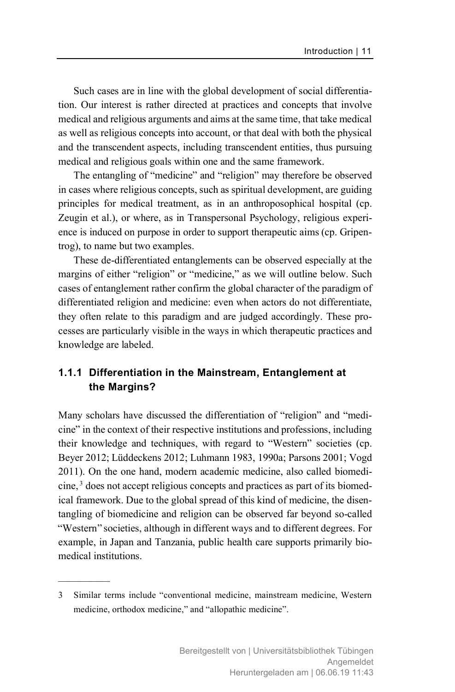Such cases are in line with the global development of social differentiation. Our interest is rather directed at practices and concepts that involve medical and religious arguments and aims at the same time, that take medical as well as religious concepts into account, or that deal with both the physical and the transcendent aspects, including transcendent entities, thus pursuing medical and religious goals within one and the same framework.

The entangling of "medicine" and "religion" may therefore be observed in cases where religious concepts, such as spiritual development, are guiding principles for medical treatment, as in an anthroposophical hospital (cp. Zeugin et al.), or where, as in Transpersonal Psychology, religious experience is induced on purpose in order to support therapeutic aims (cp. Gripentrog), to name but two examples.

These de-differentiated entanglements can be observed especially at the margins of either "religion" or "medicine," as we will outline below. Such cases of entanglement rather confirm the global character of the paradigm of differentiated religion and medicine: even when actors do not differentiate, they often relate to this paradigm and are judged accordingly. These processes are particularly visible in the ways in which therapeutic practices and knowledge are labeled.

#### **1.1.1 Differentiation in the Mainstream, Entanglement at the Margins?**

Many scholars have discussed the differentiation of "religion" and "medicine" in the context of their respective institutions and professions, including their knowledge and techniques, with regard to "Western" societies (cp. Beyer 2012; Lüddeckens 2012; Luhmann 1983, 1990a; Parsons 2001; Vogd 2011). On the one hand, modern academic medicine, also called biomedicine,<sup>3</sup> does not accept religious concepts and practices as part of its biomedical framework. Due to the global spread of this kind of medicine, the disentangling of biomedicine and religion can be observed far beyond so-called "Western" societies, although in different ways and to different degrees. For example, in Japan and Tanzania, public health care supports primarily biomedical institutions.

<sup>3</sup> Similar terms include "conventional medicine, mainstream medicine, Western medicine, orthodox medicine," and "allopathic medicine".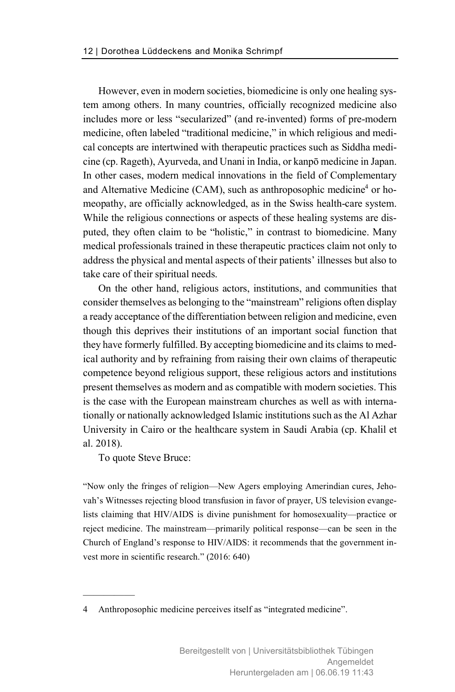However, even in modern societies, biomedicine is only one healing system among others. In many countries, officially recognized medicine also includes more or less "secularized" (and re-invented) forms of pre-modern medicine, often labeled "traditional medicine," in which religious and medical concepts are intertwined with therapeutic practices such as Siddha medicine (cp. Rageth), Ayurveda, and Unani in India, or kanpō medicine in Japan. In other cases, modern medical innovations in the field of Complementary and Alternative Medicine (CAM), such as anthroposophic medicine<sup>4</sup> or homeopathy, are officially acknowledged, as in the Swiss health-care system. While the religious connections or aspects of these healing systems are disputed, they often claim to be "holistic," in contrast to biomedicine. Many medical professionals trained in these therapeutic practices claim not only to address the physical and mental aspects of their patients' illnesses but also to take care of their spiritual needs.

On the other hand, religious actors, institutions, and communities that consider themselves as belonging to the "mainstream" religions often display a ready acceptance of the differentiation between religion and medicine, even though this deprives their institutions of an important social function that they have formerly fulfilled. By accepting biomedicine and its claims to medical authority and by refraining from raising their own claims of therapeutic competence beyond religious support, these religious actors and institutions present themselves as modern and as compatible with modern societies. This is the case with the European mainstream churches as well as with internationally or nationally acknowledged Islamic institutions such as the Al Azhar University in Cairo or the healthcare system in Saudi Arabia (cp. Khalil et al. 2018).

To quote Steve Bruce:

—————

"Now only the fringes of religion—New Agers employing Amerindian cures, Jehovah's Witnesses rejecting blood transfusion in favor of prayer, US television evangelists claiming that HIV/AIDS is divine punishment for homosexuality—practice or reject medicine. The mainstream—primarily political response—can be seen in the Church of England's response to HIV/AIDS: it recommends that the government invest more in scientific research." (2016: 640)

<sup>4</sup> Anthroposophic medicine perceives itself as "integrated medicine".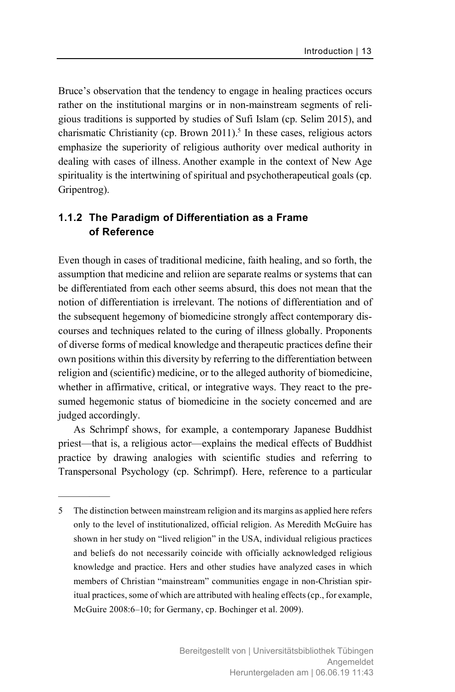Bruce's observation that the tendency to engage in healing practices occurs rather on the institutional margins or in non-mainstream segments of religious traditions is supported by studies of Sufi Islam (cp. Selim 2015), and charismatic Christianity (cp. Brown  $2011$ ).<sup>5</sup> In these cases, religious actors emphasize the superiority of religious authority over medical authority in dealing with cases of illness. Another example in the context of New Age spirituality is the intertwining of spiritual and psychotherapeutical goals (cp. Gripentrog).

#### **1.1.2 The Paradigm of Differentiation as a Frame of Reference**

Even though in cases of traditional medicine, faith healing, and so forth, the assumption that medicine and reliion are separate realms or systems that can be differentiated from each other seems absurd, this does not mean that the notion of differentiation is irrelevant. The notions of differentiation and of the subsequent hegemony of biomedicine strongly affect contemporary discourses and techniques related to the curing of illness globally. Proponents of diverse forms of medical knowledge and therapeutic practices define their own positions within this diversity by referring to the differentiation between religion and (scientific) medicine, or to the alleged authority of biomedicine, whether in affirmative, critical, or integrative ways. They react to the presumed hegemonic status of biomedicine in the society concerned and are judged accordingly.

As Schrimpf shows, for example, a contemporary Japanese Buddhist priest—that is, a religious actor—explains the medical effects of Buddhist practice by drawing analogies with scientific studies and referring to Transpersonal Psychology (cp. Schrimpf). Here, reference to a particular

<sup>5</sup> The distinction between mainstream religion and its margins as applied here refers only to the level of institutionalized, official religion. As Meredith McGuire has shown in her study on "lived religion" in the USA, individual religious practices and beliefs do not necessarily coincide with officially acknowledged religious knowledge and practice. Hers and other studies have analyzed cases in which members of Christian "mainstream" communities engage in non-Christian spiritual practices, some of which are attributed with healing effects (cp., for example, McGuire 2008:6–10; for Germany, cp. Bochinger et al. 2009).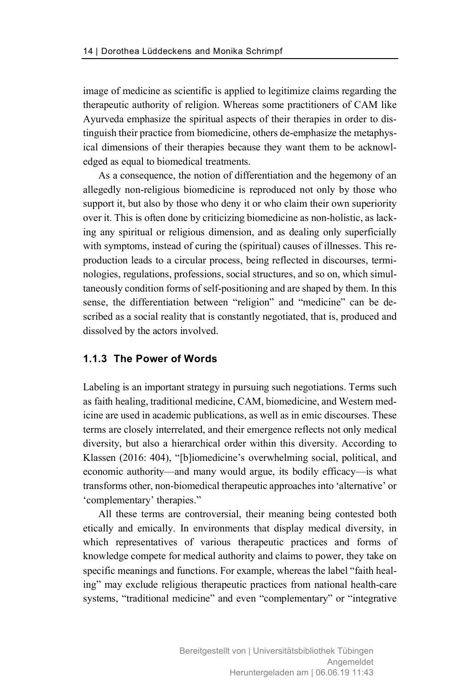image of medicine as scientific is applied to legitimize claims regarding the therapeutic authority of religion. Whereas some practitioners of CAM like Ayurveda emphasize the spiritual aspects of their therapies in order to distinguish their practice from biomedicine, others de-emphasize the metaphysical dimensions of their therapies because they want them to be acknowledged as equal to biomedical treatments.

As a consequence, the notion of differentiation and the hegemony of an allegedly non-religious biomedicine is reproduced not only by those who support it, but also by those who deny it or who claim their own superiority over it. This is often done by criticizing biomedicine as non-holistic, as lacking any spiritual or religious dimension, and as dealing only superficially with symptoms, instead of curing the (spiritual) causes of illnesses. This reproduction leads to a circular process, being reflected in discourses, terminologies, regulations, professions, social structures, and so on, which simultaneously condition forms of self-positioning and are shaped by them. In this sense, the differentiation between "religion" and "medicine" can be described as a social reality that is constantly negotiated, that is, produced and dissolved by the actors involved.

#### **1.1.3 The Power of Words**

Labeling is an important strategy in pursuing such negotiations. Terms such as faith healing, traditional medicine, CAM, biomedicine, and Western medicine are used in academic publications, as well as in emic discourses. These terms are closely interrelated, and their emergence reflects not only medical diversity, but also a hierarchical order within this diversity. According to Klassen (2016: 404), "[b]iomedicine's overwhelming social, political, and economic authority—and many would argue, its bodily efficacy—is what transforms other, non-biomedical therapeutic approaches into 'alternative' or 'complementary' therapies."

All these terms are controversial, their meaning being contested both etically and emically. In environments that display medical diversity, in which representatives of various therapeutic practices and forms of knowledge compete for medical authority and claims to power, they take on specific meanings and functions. For example, whereas the label "faith healing" may exclude religious therapeutic practices from national health-care systems, "traditional medicine" and even "complementary" or "integrative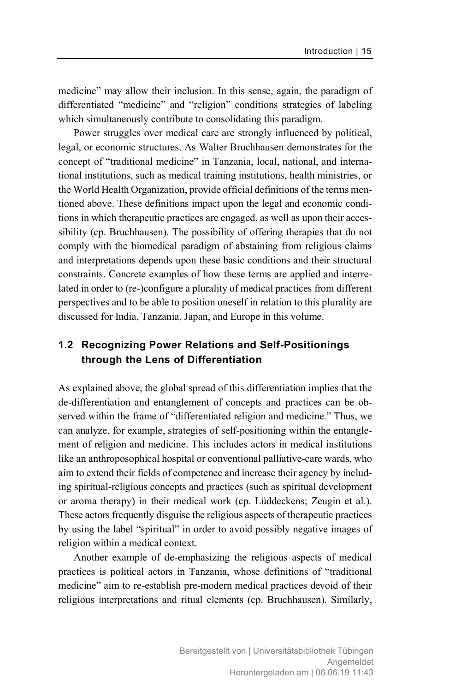medicine" may allow their inclusion. In this sense, again, the paradigm of differentiated "medicine" and "religion" conditions strategies of labeling which simultaneously contribute to consolidating this paradigm.

Power struggles over medical care are strongly influenced by political, legal, or economic structures. As Walter Bruchhausen demonstrates for the concept of "traditional medicine" in Tanzania, local, national, and international institutions, such as medical training institutions, health ministries, or the World Health Organization, provide official definitions of the terms mentioned above. These definitions impact upon the legal and economic conditions in which therapeutic practices are engaged, as well as upon their accessibility (cp. Bruchhausen). The possibility of offering therapies that do not comply with the biomedical paradigm of abstaining from religious claims and interpretations depends upon these basic conditions and their structural constraints. Concrete examples of how these terms are applied and interrelated in order to (re-)configure a plurality of medical practices from different perspectives and to be able to position oneself in relation to this plurality are discussed for India, Tanzania, Japan, and Europe in this volume.

## **1.2 Recognizing Power Relations and Self-Positionings through the Lens of Differentiation**

As explained above, the global spread of this differentiation implies that the de-differentiation and entanglement of concepts and practices can be observed within the frame of "differentiated religion and medicine." Thus, we can analyze, for example, strategies of self-positioning within the entanglement of religion and medicine. This includes actors in medical institutions like an anthroposophical hospital or conventional palliative-care wards, who aim to extend their fields of competence and increase their agency by including spiritual-religious concepts and practices (such as spiritual development or aroma therapy) in their medical work (cp. Lüddeckens; Zeugin et al.). These actors frequently disguise the religious aspects of therapeutic practices by using the label "spiritual" in order to avoid possibly negative images of religion within a medical context.

Another example of de-emphasizing the religious aspects of medical practices is political actors in Tanzania, whose definitions of "traditional medicine" aim to re-establish pre-modern medical practices devoid of their religious interpretations and ritual elements (cp. Bruchhausen). Similarly,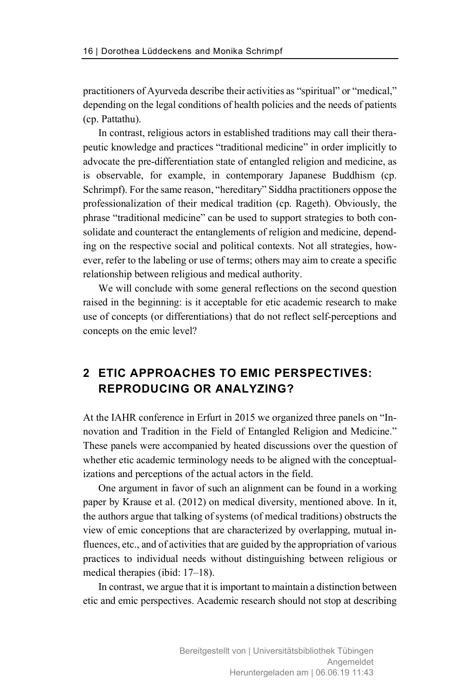practitioners of Ayurveda describe their activities as "spiritual" or "medical," depending on the legal conditions of health policies and the needs of patients (cp. Pattathu).

In contrast, religious actors in established traditions may call their therapeutic knowledge and practices "traditional medicine" in order implicitly to advocate the pre-differentiation state of entangled religion and medicine, as is observable, for example, in contemporary Japanese Buddhism (cp. Schrimpf). For the same reason, "hereditary" Siddha practitioners oppose the professionalization of their medical tradition (cp. Rageth). Obviously, the phrase "traditional medicine" can be used to support strategies to both consolidate and counteract the entanglements of religion and medicine, depending on the respective social and political contexts. Not all strategies, however, refer to the labeling or use of terms; others may aim to create a specific relationship between religious and medical authority.

We will conclude with some general reflections on the second question raised in the beginning: is it acceptable for etic academic research to make use of concepts (or differentiations) that do not reflect self-perceptions and concepts on the emic level?

# **2 ETIC APPROACHES TO EMIC PERSPECTIVES: REPRODUCING OR ANALYZING?**

At the IAHR conference in Erfurt in 2015 we organized three panels on "Innovation and Tradition in the Field of Entangled Religion and Medicine." These panels were accompanied by heated discussions over the question of whether etic academic terminology needs to be aligned with the conceptualizations and perceptions of the actual actors in the field.

One argument in favor of such an alignment can be found in a working paper by Krause et al. (2012) on medical diversity, mentioned above. In it, the authors argue that talking of systems (of medical traditions) obstructs the view of emic conceptions that are characterized by overlapping, mutual influences, etc., and of activities that are guided by the appropriation of various practices to individual needs without distinguishing between religious or medical therapies (ibid: 17–18).

In contrast, we argue that it is important to maintain a distinction between etic and emic perspectives. Academic research should not stop at describing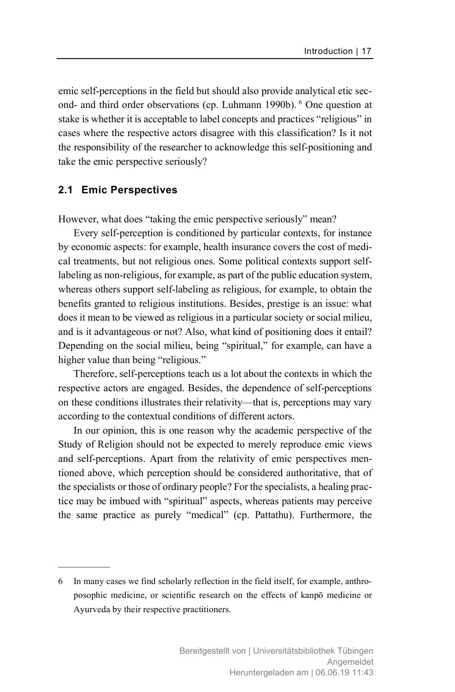emic self-perceptions in the field but should also provide analytical etic second- and third order observations (cp. Luhmann 1990b). <sup>6</sup> One question at stake is whether it is acceptable to label concepts and practices "religious" in cases where the respective actors disagree with this classification? Is it not the responsibility of the researcher to acknowledge this self-positioning and take the emic perspective seriously?

#### **2.1 Emic Perspectives**

—————

However, what does "taking the emic perspective seriously" mean?

Every self-perception is conditioned by particular contexts, for instance by economic aspects: for example, health insurance covers the cost of medical treatments, but not religious ones. Some political contexts support selflabeling as non-religious, for example, as part of the public education system, whereas others support self-labeling as religious, for example, to obtain the benefits granted to religious institutions. Besides, prestige is an issue: what does it mean to be viewed as religious in a particular society or social milieu, and is it advantageous or not? Also, what kind of positioning does it entail? Depending on the social milieu, being "spiritual," for example, can have a higher value than being "religious."

Therefore, self-perceptions teach us a lot about the contexts in which the respective actors are engaged. Besides, the dependence of self-perceptions on these conditions illustrates their relativity—that is, perceptions may vary according to the contextual conditions of different actors.

In our opinion, this is one reason why the academic perspective of the Study of Religion should not be expected to merely reproduce emic views and self-perceptions. Apart from the relativity of emic perspectives mentioned above, which perception should be considered authoritative, that of the specialists or those of ordinary people? For the specialists, a healing practice may be imbued with "spiritual" aspects, whereas patients may perceive the same practice as purely "medical" (cp. Pattathu). Furthermore, the

<sup>6</sup> In many cases we find scholarly reflection in the field itself, for example, anthroposophic medicine, or scientific research on the effects of kanpō medicine or Ayurveda by their respective practitioners.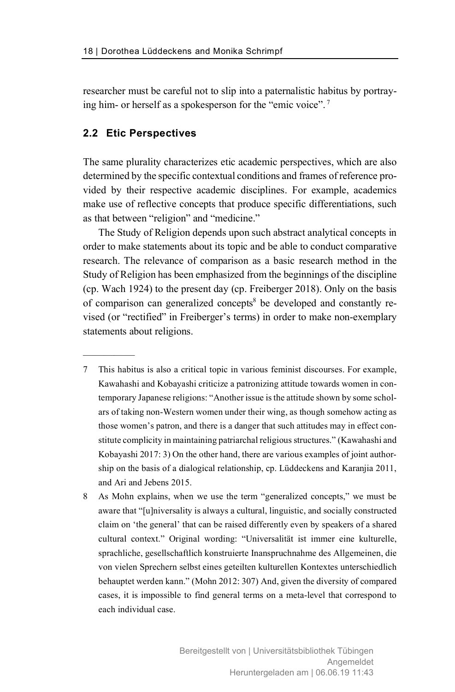researcher must be careful not to slip into a paternalistic habitus by portraying him- or herself as a spokesperson for the "emic voice". <sup>7</sup>

#### **2.2 Etic Perspectives**

—————

The same plurality characterizes etic academic perspectives, which are also determined by the specific contextual conditions and frames of reference provided by their respective academic disciplines. For example, academics make use of reflective concepts that produce specific differentiations, such as that between "religion" and "medicine."

The Study of Religion depends upon such abstract analytical concepts in order to make statements about its topic and be able to conduct comparative research. The relevance of comparison as a basic research method in the Study of Religion has been emphasized from the beginnings of the discipline (cp. Wach 1924) to the present day (cp. Freiberger 2018). Only on the basis of comparison can generalized concepts<sup>8</sup> be developed and constantly revised (or "rectified" in Freiberger's terms) in order to make non-exemplary statements about religions.

- 7 This habitus is also a critical topic in various feminist discourses. For example, Kawahashi and Kobayashi criticize a patronizing attitude towards women in contemporary Japanese religions: "Another issue is the attitude shown by some scholars of taking non-Western women under their wing, as though somehow acting as those women's patron, and there is a danger that such attitudes may in effect constitute complicity in maintaining patriarchal religious structures." (Kawahashi and Kobayashi 2017: 3) On the other hand, there are various examples of joint authorship on the basis of a dialogical relationship, cp. Lüddeckens and Karanjia 2011, and Ari and Jebens 2015.
- 8 As Mohn explains, when we use the term "generalized concepts," we must be aware that "[u]niversality is always a cultural, linguistic, and socially constructed claim on 'the general' that can be raised differently even by speakers of a shared cultural context." Original wording: "Universalität ist immer eine kulturelle, sprachliche, gesellschaftlich konstruierte Inanspruchnahme des Allgemeinen, die von vielen Sprechern selbst eines geteilten kulturellen Kontextes unterschiedlich behauptet werden kann." (Mohn 2012: 307) And, given the diversity of compared cases, it is impossible to find general terms on a meta-level that correspond to each individual case.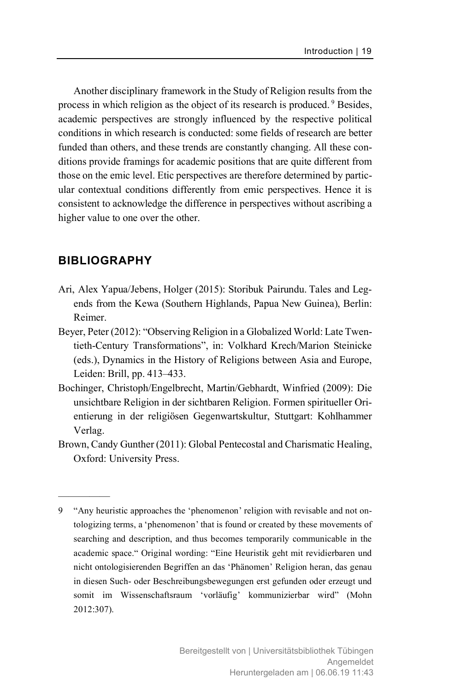Another disciplinary framework in the Study of Religion results from the process in which religion as the object of its research is produced.<sup>9</sup> Besides, academic perspectives are strongly influenced by the respective political conditions in which research is conducted: some fields of research are better funded than others, and these trends are constantly changing. All these conditions provide framings for academic positions that are quite different from those on the emic level. Etic perspectives are therefore determined by particular contextual conditions differently from emic perspectives. Hence it is consistent to acknowledge the difference in perspectives without ascribing a higher value to one over the other.

### **BIBLIOGRAPHY**

- Ari, Alex Yapua/Jebens, Holger (2015): Storibuk Pairundu. Tales and Legends from the Kewa (Southern Highlands, Papua New Guinea), Berlin: Reimer.
- Beyer, Peter (2012): "Observing Religion in a Globalized World: Late Twentieth-Century Transformations", in: Volkhard Krech/Marion Steinicke (eds.), Dynamics in the History of Religions between Asia and Europe, Leiden: Brill, pp. 413–433.
- Bochinger, Christoph/Engelbrecht, Martin/Gebhardt, Winfried (2009): Die unsichtbare Religion in der sichtbaren Religion. Formen spiritueller Orientierung in der religiösen Gegenwartskultur, Stuttgart: Kohlhammer Verlag.
- Brown, Candy Gunther (2011): Global Pentecostal and Charismatic Healing, Oxford: University Press.

<sup>9 &</sup>quot;Any heuristic approaches the 'phenomenon' religion with revisable and not ontologizing terms, a 'phenomenon' that is found or created by these movements of searching and description, and thus becomes temporarily communicable in the academic space." Original wording: "Eine Heuristik geht mit revidierbaren und nicht ontologisierenden Begriffen an das 'Phänomen' Religion heran, das genau in diesen Such- oder Beschreibungsbewegungen erst gefunden oder erzeugt und somit im Wissenschaftsraum 'vorläufig' kommunizierbar wird" (Mohn 2012:307).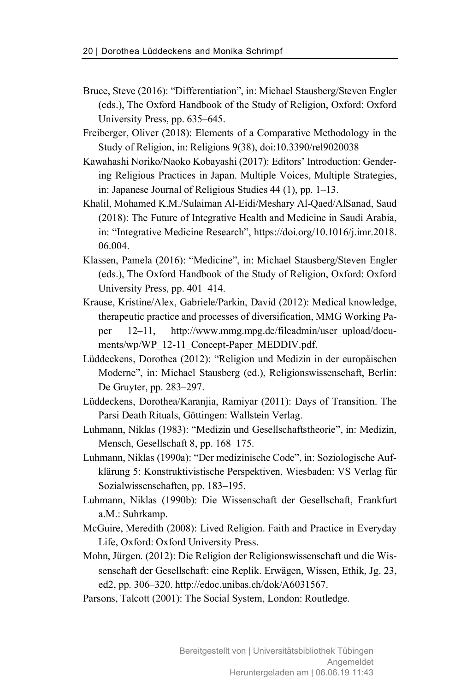- Bruce, Steve (2016): "Differentiation", in: Michael Stausberg/Steven Engler (eds.), The Oxford Handbook of the Study of Religion, Oxford: Oxford University Press, pp. 635–645.
- Freiberger, Oliver (2018): Elements of a Comparative Methodology in the Study of Religion, in: Religions 9(38), doi:10.3390/rel9020038
- Kawahashi Noriko/Naoko Kobayashi (2017): Editors' Introduction: Gendering Religious Practices in Japan. Multiple Voices, Multiple Strategies, in: Japanese Journal of Religious Studies 44 (1), pp. 1–13.
- Khalil, Mohamed K.M./Sulaiman Al-Eidi/Meshary Al-Qaed/AlSanad, Saud (2018): The Future of Integrative Health and Medicine in Saudi Arabia, in: "Integrative Medicine Research", https://doi.org/10.1016/j.imr.2018. 06.004.
- Klassen, Pamela (2016): "Medicine", in: Michael Stausberg/Steven Engler (eds.), The Oxford Handbook of the Study of Religion, Oxford: Oxford University Press, pp. 401–414.
- Krause, Kristine/Alex, Gabriele/Parkin, David (2012): Medical knowledge, therapeutic practice and processes of diversification, MMG Working Paper 12–11, http://www.mmg.mpg.de/fileadmin/user\_upload/documents/wp/WP\_12-11\_Concept-Paper\_MEDDIV.pdf.
- Lüddeckens, Dorothea (2012): "Religion und Medizin in der europäischen Moderne", in: Michael Stausberg (ed.), Religionswissenschaft, Berlin: De Gruyter, pp. 283–297.
- Lüddeckens, Dorothea/Karanjia, Ramiyar (2011): Days of Transition. The Parsi Death Rituals, Göttingen: Wallstein Verlag.
- Luhmann, Niklas (1983): "Medizin und Gesellschaftstheorie", in: Medizin, Mensch, Gesellschaft 8, pp. 168–175.
- Luhmann, Niklas (1990a): "Der medizinische Code", in: Soziologische Aufklärung 5: Konstruktivistische Perspektiven, Wiesbaden: VS Verlag für Sozialwissenschaften, pp. 183–195.
- Luhmann, Niklas (1990b): Die Wissenschaft der Gesellschaft, Frankfurt a.M.: Suhrkamp.
- McGuire, Meredith (2008): Lived Religion. Faith and Practice in Everyday Life, Oxford: Oxford University Press.
- Mohn, Jürgen. (2012): Die Religion der Religionswissenschaft und die Wissenschaft der Gesellschaft: eine Replik. Erwägen, Wissen, Ethik, Jg. 23, ed2, pp. 306–320. http://edoc.unibas.ch/dok/A6031567.
- Parsons, Talcott (2001): The Social System, London: Routledge.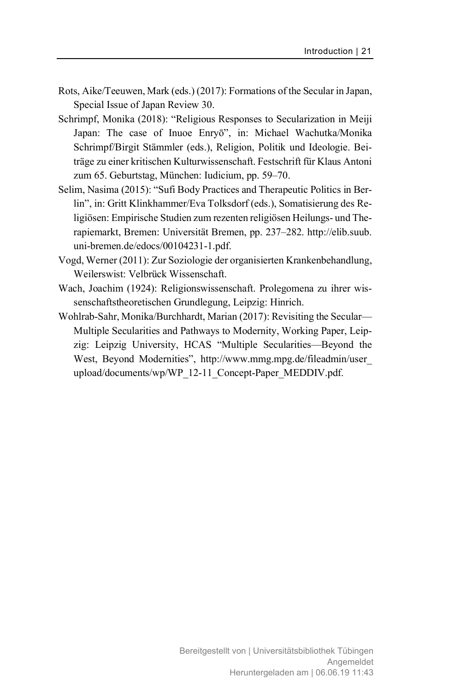- Rots, Aike/Teeuwen, Mark (eds.) (2017): Formations of the Secular in Japan, Special Issue of Japan Review 30.
- Schrimpf, Monika (2018): "Religious Responses to Secularization in Meiji Japan: The case of Inuoe Enryō", in: Michael Wachutka/Monika Schrimpf/Birgit Stämmler (eds.), Religion, Politik und Ideologie. Beiträge zu einer kritischen Kulturwissenschaft. Festschrift für Klaus Antoni zum 65. Geburtstag, München: Iudicium, pp. 59–70.
- Selim, Nasima (2015): "Sufi Body Practices and Therapeutic Politics in Berlin", in: Gritt Klinkhammer/Eva Tolksdorf (eds.), Somatisierung des Religiösen: Empirische Studien zum rezenten religiösen Heilungs- und Therapiemarkt, Bremen: Universität Bremen, pp. 237–282. http://elib.suub. uni-bremen.de/edocs/00104231-1.pdf.
- Vogd, Werner (2011): Zur Soziologie der organisierten Krankenbehandlung, Weilerswist: Velbrück Wissenschaft.
- Wach, Joachim (1924): Religionswissenschaft. Prolegomena zu ihrer wissenschaftstheoretischen Grundlegung, Leipzig: Hinrich.
- Wohlrab-Sahr, Monika/Burchhardt, Marian (2017): Revisiting the Secular— Multiple Secularities and Pathways to Modernity, Working Paper, Leipzig: Leipzig University, HCAS "Multiple Secularities—Beyond the West, Beyond Modernities", http://www.mmg.mpg.de/fileadmin/user\_ upload/documents/wp/WP\_12-11\_Concept-Paper\_MEDDIV.pdf.